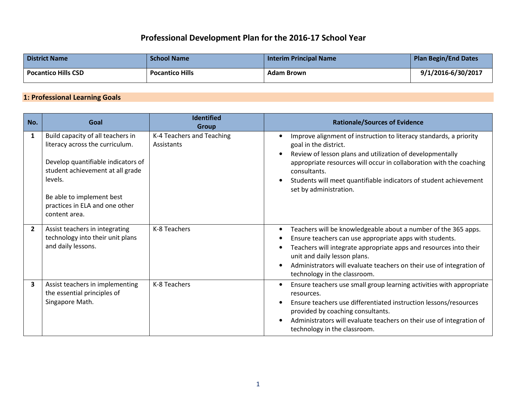## **Professional Development Plan for the 2016-17 School Year**

| <b>District Name</b>       | <b>School Name</b>     | <b>Interim Principal Name</b> | <b>Plan Begin/End Dates</b> |
|----------------------------|------------------------|-------------------------------|-----------------------------|
| <b>Pocantico Hills CSD</b> | <b>Pocantico Hills</b> | <b>Adam Brown</b>             | 9/1/2016-6/30/2017          |

## **1: Professional Learning Goals**

| No.            | Goal                                                                                                                                                                                                                                      | <b>Identified</b><br><b>Group</b>       | <b>Rationale/Sources of Evidence</b>                                                                                                                                                                                                                                                                                                           |
|----------------|-------------------------------------------------------------------------------------------------------------------------------------------------------------------------------------------------------------------------------------------|-----------------------------------------|------------------------------------------------------------------------------------------------------------------------------------------------------------------------------------------------------------------------------------------------------------------------------------------------------------------------------------------------|
| 1              | Build capacity of all teachers in<br>literacy across the curriculum.<br>Develop quantifiable indicators of<br>student achievement at all grade<br>levels.<br>Be able to implement best<br>practices in ELA and one other<br>content area. | K-4 Teachers and Teaching<br>Assistants | Improve alignment of instruction to literacy standards, a priority<br>goal in the district.<br>Review of lesson plans and utilization of developmentally<br>appropriate resources will occur in collaboration with the coaching<br>consultants.<br>Students will meet quantifiable indicators of student achievement<br>set by administration. |
| $\overline{2}$ | Assist teachers in integrating<br>technology into their unit plans<br>and daily lessons.                                                                                                                                                  | K-8 Teachers                            | Teachers will be knowledgeable about a number of the 365 apps.<br>Ensure teachers can use appropriate apps with students.<br>Teachers will integrate appropriate apps and resources into their<br>unit and daily lesson plans.<br>Administrators will evaluate teachers on their use of integration of<br>technology in the classroom.         |
| 3              | Assist teachers in implementing<br>the essential principles of<br>Singapore Math.                                                                                                                                                         | K-8 Teachers                            | Ensure teachers use small group learning activities with appropriate<br>resources.<br>Ensure teachers use differentiated instruction lessons/resources<br>provided by coaching consultants.<br>Administrators will evaluate teachers on their use of integration of<br>technology in the classroom.                                            |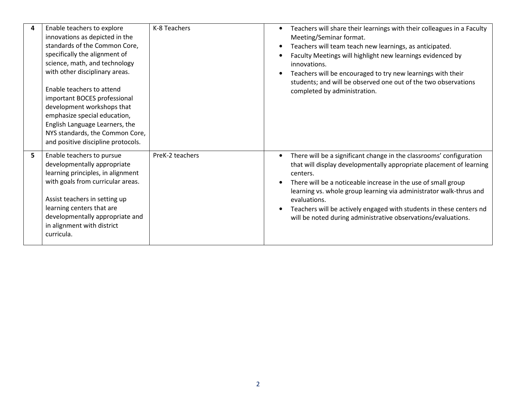| 4 | Enable teachers to explore<br>innovations as depicted in the<br>standards of the Common Core,<br>specifically the alignment of<br>science, math, and technology<br>with other disciplinary areas.<br>Enable teachers to attend<br>important BOCES professional<br>development workshops that<br>emphasize special education,<br>English Language Learners, the<br>NYS standards, the Common Core,<br>and positive discipline protocols. | K-8 Teachers    | Teachers will share their learnings with their colleagues in a Faculty<br>Meeting/Seminar format.<br>Teachers will team teach new learnings, as anticipated.<br>Faculty Meetings will highlight new learnings evidenced by<br>innovations.<br>Teachers will be encouraged to try new learnings with their<br>students; and will be observed one out of the two observations<br>completed by administration.                                           |
|---|-----------------------------------------------------------------------------------------------------------------------------------------------------------------------------------------------------------------------------------------------------------------------------------------------------------------------------------------------------------------------------------------------------------------------------------------|-----------------|-------------------------------------------------------------------------------------------------------------------------------------------------------------------------------------------------------------------------------------------------------------------------------------------------------------------------------------------------------------------------------------------------------------------------------------------------------|
| 5 | Enable teachers to pursue<br>developmentally appropriate<br>learning principles, in alignment<br>with goals from curricular areas.<br>Assist teachers in setting up<br>learning centers that are<br>developmentally appropriate and<br>in alignment with district<br>curricula.                                                                                                                                                         | PreK-2 teachers | There will be a significant change in the classrooms' configuration<br>that will display developmentally appropriate placement of learning<br>centers.<br>There will be a noticeable increase in the use of small group<br>learning vs. whole group learning via administrator walk-thrus and<br>evaluations.<br>Teachers will be actively engaged with students in these centers nd<br>will be noted during administrative observations/evaluations. |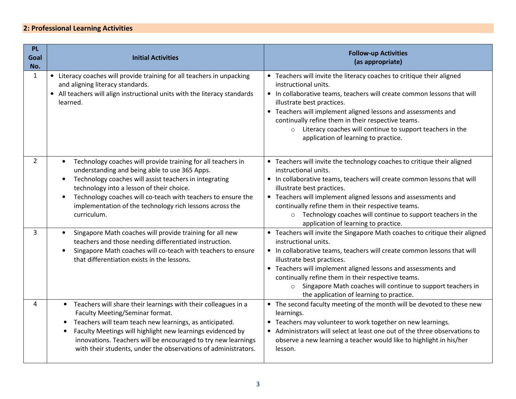## **2: Professional Learning Activities**

| <b>PL</b><br>Goal<br>No. | <b>Initial Activities</b>                                                                                                                                                                                                                                                                                                                                                                            | <b>Follow-up Activities</b><br>(as appropriate)                                                                                                                                                                                                                                                                                                                                                                                                           |
|--------------------------|------------------------------------------------------------------------------------------------------------------------------------------------------------------------------------------------------------------------------------------------------------------------------------------------------------------------------------------------------------------------------------------------------|-----------------------------------------------------------------------------------------------------------------------------------------------------------------------------------------------------------------------------------------------------------------------------------------------------------------------------------------------------------------------------------------------------------------------------------------------------------|
| $\mathbf{1}$             | • Literacy coaches will provide training for all teachers in unpacking<br>and aligning literacy standards.<br>• All teachers will align instructional units with the literacy standards<br>learned.                                                                                                                                                                                                  | • Teachers will invite the literacy coaches to critique their aligned<br>instructional units.<br>• In collaborative teams, teachers will create common lessons that will<br>illustrate best practices.<br>• Teachers will implement aligned lessons and assessments and<br>continually refine them in their respective teams.<br>Literacy coaches will continue to support teachers in the<br>$\circ$<br>application of learning to practice.             |
| $\overline{2}$           | Technology coaches will provide training for all teachers in<br>understanding and being able to use 365 Apps.<br>Technology coaches will assist teachers in integrating<br>technology into a lesson of their choice.<br>Technology coaches will co-teach with teachers to ensure the<br>$\bullet$<br>implementation of the technology rich lessons across the<br>curriculum.                         | • Teachers will invite the technology coaches to critique their aligned<br>instructional units.<br>• In collaborative teams, teachers will create common lessons that will<br>illustrate best practices.<br>• Teachers will implement aligned lessons and assessments and<br>continually refine them in their respective teams.<br>o Technology coaches will continue to support teachers in the<br>application of learning to practice.                  |
| 3                        | Singapore Math coaches will provide training for all new<br>$\bullet$<br>teachers and those needing differentiated instruction.<br>Singapore Math coaches will co-teach with teachers to ensure<br>$\bullet$<br>that differentiation exists in the lessons.                                                                                                                                          | • Teachers will invite the Singapore Math coaches to critique their aligned<br>instructional units.<br>• In collaborative teams, teachers will create common lessons that will<br>illustrate best practices.<br>• Teachers will implement aligned lessons and assessments and<br>continually refine them in their respective teams.<br>Singapore Math coaches will continue to support teachers in<br>$\circ$<br>the application of learning to practice. |
| Δ                        | Teachers will share their learnings with their colleagues in a<br>$\bullet$<br>Faculty Meeting/Seminar format.<br>Teachers will team teach new learnings, as anticipated.<br>$\bullet$<br>Faculty Meetings will highlight new learnings evidenced by<br>$\bullet$<br>innovations. Teachers will be encouraged to try new learnings<br>with their students, under the observations of administrators. | • The second faculty meeting of the month will be devoted to these new<br>learnings.<br>• Teachers may volunteer to work together on new learnings.<br>• Administrators will select at least one out of the three observations to<br>observe a new learning a teacher would like to highlight in his/her<br>lesson.                                                                                                                                       |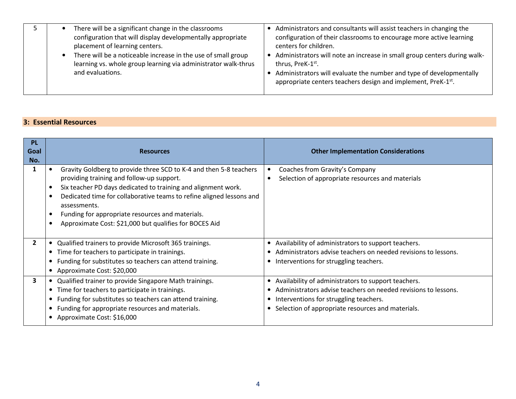|  | There will be a significant change in the classrooms<br>configuration that will display developmentally appropriate<br>placement of learning centers.<br>There will be a noticeable increase in the use of small group<br>$\bullet$<br>learning vs. whole group learning via administrator walk-thrus<br>and evaluations. | Administrators and consultants will assist teachers in changing the<br>configuration of their classrooms to encourage more active learning<br>centers for children.<br>Administrators will note an increase in small group centers during walk-<br>thrus, PreK-1st.<br>Administrators will evaluate the number and type of developmentally<br>appropriate centers teachers design and implement, PreK-1 <sup>st</sup> . |
|--|---------------------------------------------------------------------------------------------------------------------------------------------------------------------------------------------------------------------------------------------------------------------------------------------------------------------------|-------------------------------------------------------------------------------------------------------------------------------------------------------------------------------------------------------------------------------------------------------------------------------------------------------------------------------------------------------------------------------------------------------------------------|
|--|---------------------------------------------------------------------------------------------------------------------------------------------------------------------------------------------------------------------------------------------------------------------------------------------------------------------------|-------------------------------------------------------------------------------------------------------------------------------------------------------------------------------------------------------------------------------------------------------------------------------------------------------------------------------------------------------------------------------------------------------------------------|

## **3: Essential Resources**

| <b>PL</b><br>Goal<br>No. | <b>Resources</b>                                                                                                                                                                                                                                                                                                                                                                                    | <b>Other Implementation Considerations</b>                                         |
|--------------------------|-----------------------------------------------------------------------------------------------------------------------------------------------------------------------------------------------------------------------------------------------------------------------------------------------------------------------------------------------------------------------------------------------------|------------------------------------------------------------------------------------|
|                          | Gravity Goldberg to provide three SCD to K-4 and then 5-8 teachers<br>providing training and follow-up support.<br>Six teacher PD days dedicated to training and alignment work.<br>Dedicated time for collaborative teams to refine aligned lessons and<br>$\bullet$<br>assessments.<br>Funding for appropriate resources and materials.<br>Approximate Cost: \$21,000 but qualifies for BOCES Aid | Coaches from Gravity's Company<br>Selection of appropriate resources and materials |
| $\overline{2}$           | Qualified trainers to provide Microsoft 365 trainings.<br>$\bullet$                                                                                                                                                                                                                                                                                                                                 | Availability of administrators to support teachers.<br>$\bullet$                   |
|                          | Time for teachers to participate in trainings.                                                                                                                                                                                                                                                                                                                                                      | Administrators advise teachers on needed revisions to lessons.                     |
|                          | Funding for substitutes so teachers can attend training.                                                                                                                                                                                                                                                                                                                                            | • Interventions for struggling teachers.                                           |
|                          | Approximate Cost: \$20,000                                                                                                                                                                                                                                                                                                                                                                          |                                                                                    |
| 3                        | Qualified trainer to provide Singapore Math trainings.                                                                                                                                                                                                                                                                                                                                              | • Availability of administrators to support teachers.                              |
|                          | Time for teachers to participate in trainings.                                                                                                                                                                                                                                                                                                                                                      | Administrators advise teachers on needed revisions to lessons.                     |
|                          | Funding for substitutes so teachers can attend training.                                                                                                                                                                                                                                                                                                                                            | Interventions for struggling teachers.                                             |
|                          | Funding for appropriate resources and materials.                                                                                                                                                                                                                                                                                                                                                    | Selection of appropriate resources and materials.                                  |
|                          | Approximate Cost: \$16,000                                                                                                                                                                                                                                                                                                                                                                          |                                                                                    |